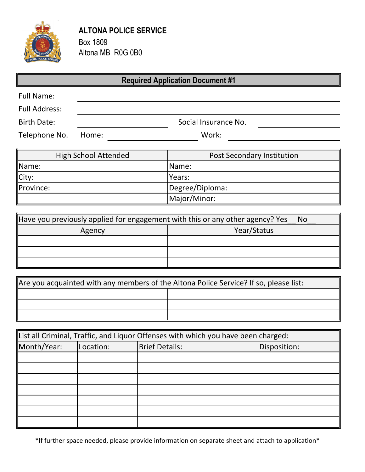

μ

# ALTONA POLICE SERVICE Box 1809

Altona MB R0G 0B0

| <b>Required Application Document #1</b>                                              |                             |                                   |  |  |
|--------------------------------------------------------------------------------------|-----------------------------|-----------------------------------|--|--|
| <b>Full Name:</b>                                                                    |                             |                                   |  |  |
| <b>Full Address:</b>                                                                 |                             |                                   |  |  |
| <b>Birth Date:</b>                                                                   | Social Insurance No.        |                                   |  |  |
| Telephone No.                                                                        | Work:<br>Home:              |                                   |  |  |
|                                                                                      |                             |                                   |  |  |
|                                                                                      | <b>High School Attended</b> | <b>Post Secondary Institution</b> |  |  |
| ∥Name:                                                                               |                             | Name:                             |  |  |
| City:                                                                                |                             | Years:                            |  |  |
| Province:                                                                            |                             | Degree/Diploma:                   |  |  |
|                                                                                      |                             | Major/Minor:                      |  |  |
|                                                                                      |                             |                                   |  |  |
| Have you previously applied for engagement with this or any other agency? Yes_<br>No |                             |                                   |  |  |
| Agency                                                                               |                             | Year/Status                       |  |  |

| Are you acquainted with any members of the Altona Police Service? If so, please list: |  |
|---------------------------------------------------------------------------------------|--|
|                                                                                       |  |
|                                                                                       |  |
|                                                                                       |  |

 $\mathbf{I}$ 

| List all Criminal, Traffic, and Liquor Offenses with which you have been charged: |           |                                       |  |  |
|-----------------------------------------------------------------------------------|-----------|---------------------------------------|--|--|
| Month/Year:                                                                       | Location: | <b>Brief Details:</b><br>Disposition: |  |  |
|                                                                                   |           |                                       |  |  |
|                                                                                   |           |                                       |  |  |
|                                                                                   |           |                                       |  |  |
|                                                                                   |           |                                       |  |  |
|                                                                                   |           |                                       |  |  |
|                                                                                   |           |                                       |  |  |
|                                                                                   |           |                                       |  |  |

\*If further space needed, please provide information on separate sheet and attach to application\*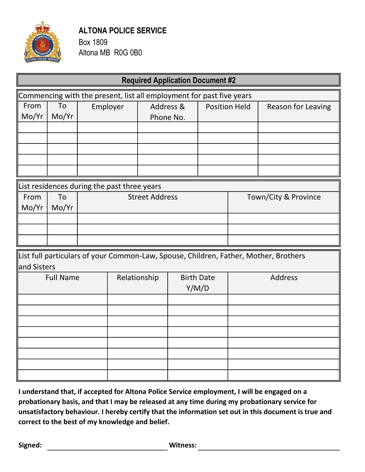

## ALTONA POLICE SERVICE Box 1809

Altona MB R0G 0B0

| <b>Required Application Document #2</b>                              |                                             |                       |  |           |  |                      |                      |                                                                                      |
|----------------------------------------------------------------------|---------------------------------------------|-----------------------|--|-----------|--|----------------------|----------------------|--------------------------------------------------------------------------------------|
| Commencing with the present, list all employment for past five years |                                             |                       |  |           |  |                      |                      |                                                                                      |
| From                                                                 | To                                          | Employer              |  | Address & |  |                      | <b>Position Held</b> | Reason for Leaving                                                                   |
| Mo/Yr                                                                | Mo/Yr                                       |                       |  | Phone No. |  |                      |                      |                                                                                      |
|                                                                      |                                             |                       |  |           |  |                      |                      |                                                                                      |
|                                                                      |                                             |                       |  |           |  |                      |                      |                                                                                      |
|                                                                      |                                             |                       |  |           |  |                      |                      |                                                                                      |
|                                                                      |                                             |                       |  |           |  |                      |                      |                                                                                      |
|                                                                      |                                             |                       |  |           |  |                      |                      |                                                                                      |
|                                                                      | List residences during the past three years |                       |  |           |  |                      |                      |                                                                                      |
| From                                                                 | To                                          | <b>Street Address</b> |  |           |  | Town/City & Province |                      |                                                                                      |
| Mo/Yr                                                                | Mo/Yr                                       |                       |  |           |  |                      |                      |                                                                                      |
|                                                                      |                                             |                       |  |           |  |                      |                      |                                                                                      |
|                                                                      |                                             |                       |  |           |  |                      |                      |                                                                                      |
|                                                                      |                                             |                       |  |           |  |                      |                      |                                                                                      |
| and Sisters                                                          |                                             |                       |  |           |  |                      |                      | List full particulars of your Common-Law, Spouse, Children, Father, Mother, Brothers |
|                                                                      | <b>Full Name</b>                            |                       |  |           |  | <b>Birth Date</b>    |                      | <b>Address</b>                                                                       |
|                                                                      |                                             | Relationship          |  | Y/M/D     |  |                      |                      |                                                                                      |
|                                                                      |                                             |                       |  |           |  |                      |                      |                                                                                      |
|                                                                      |                                             |                       |  |           |  |                      |                      |                                                                                      |
|                                                                      |                                             |                       |  |           |  |                      |                      |                                                                                      |
|                                                                      |                                             |                       |  |           |  |                      |                      |                                                                                      |
|                                                                      |                                             |                       |  |           |  |                      |                      |                                                                                      |
|                                                                      |                                             |                       |  |           |  |                      |                      |                                                                                      |
|                                                                      |                                             |                       |  |           |  |                      |                      |                                                                                      |
|                                                                      |                                             |                       |  |           |  |                      |                      |                                                                                      |

I understand that, if accepted for Altona Police Service employment, I will be engaged on a probationary basis, and that I may be released at any time during my probationary service for unsatisfactory behaviour. I hereby certify that the information set out in this document is true and correct to the best of my knowledge and belief.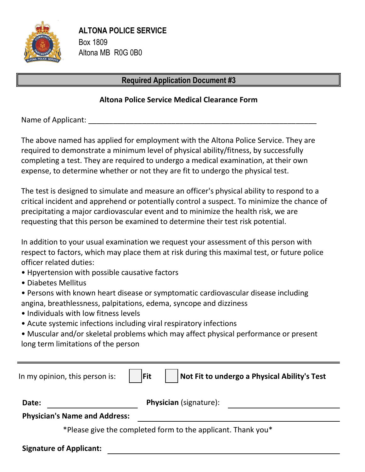

## Required Application Document #3

#### Altona Police Service Medical Clearance Form

Name of Applicant:

ALTONA POLICE SERVICE<br>
Box 1809<br>
Altona MB ROG 0B0<br>
Required Application Document #3<br>
Altona Police Service Medical Clearance Form<br>
Name of Applicant:<br>
The above named has applied for employment with the Altona Police Serv required to demonstrate a minimum level of physical ability/fitness, by successfully completing a test. They are required to undergo a medical examination, at their own expense, to determine whether or not they are fit to undergo the physical test.

The test is designed to simulate and measure an officer's physical ability to respond to a critical incident and apprehend or potentially control a suspect. To minimize the chance of precipitating a major cardiovascular event and to minimize the health risk, we are requesting that this person be examined to determine their test risk potential.

In addition to your usual examination we request your assessment of this person with respect to factors, which may place them at risk during this maximal test, or future police officer related duties:

- Hpyertension with possible causative factors
- Diabetes Mellitus
- Persons with known heart disease or symptomatic cardiovascular disease including angina, breathlessness, palpitations, edema, syncope and dizziness
- Individuals with low fitness levels
- Acute systemic infections including viral respiratory infections
- Muscular and/or skeletal problems which may affect physical performance or present long term limitations of the person

| In my opinion, this person is:       | <b>Fit</b> |                                                              | Not Fit to undergo a Physical Ability's Test |
|--------------------------------------|------------|--------------------------------------------------------------|----------------------------------------------|
| Date:                                |            | <b>Physician</b> (signature):                                |                                              |
| <b>Physician's Name and Address:</b> |            |                                                              |                                              |
|                                      |            | *Please give the completed form to the applicant. Thank you* |                                              |
| <b>Signature of Applicant:</b>       |            |                                                              |                                              |